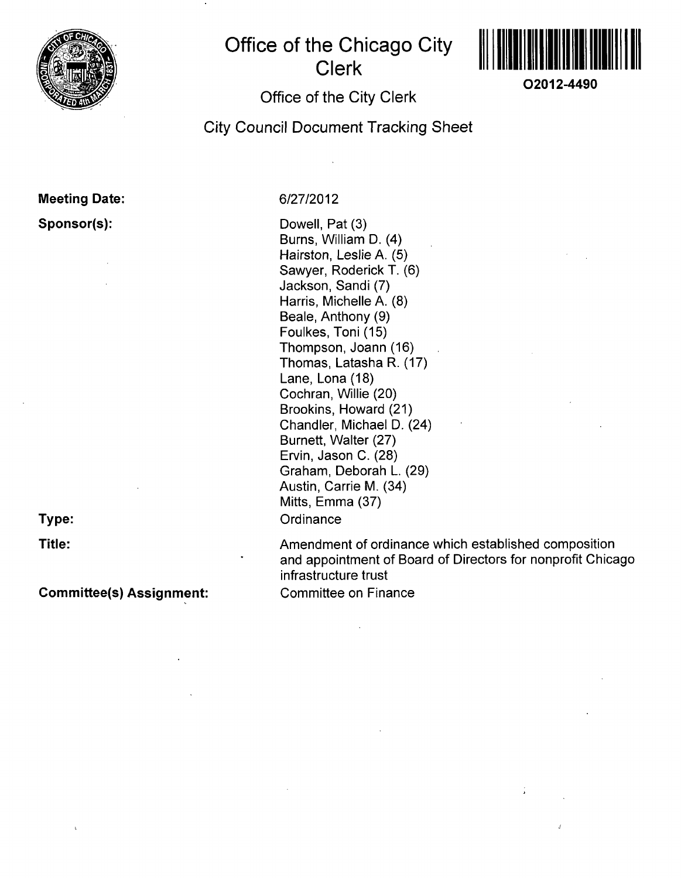

# **Office of the Chicago City Clerk**



**O2012-4490** 

## **Office of the City Clerk**

**City Council Document Tracking Sheet** 

## **Meeting Date: Sponsor(s):**

**Type:** 

**Title:** 

**Committee(s) Assignment:** 

## 6/27/2012

Dowell, Pat (3) Burns, William D. (4) Hairston, Leslie A. (5) Sawyer, Roderick T. (6) Jackson, Sandi (7) Harris, Michelle A. (8) Beale, Anthony (9) Foulkes, Toni (15) Thompson, Joann (16) Thomas, Latasha R. (17) Lane, Lona (18) Cochran, Willie (20) Brookins, Howard (21) Chandler, Michael D. (24) Burnett, Walter (27) Ervin, Jason C. (28) Graham, Deborah L. (29) Austin, Carrie M. (34) Mitts, Emma (37) **Ordinance** 

Amendment of ordinance which established composition and appointment of Board of Directors for nonprofit Chicago infrastructure trust Committee on Finance